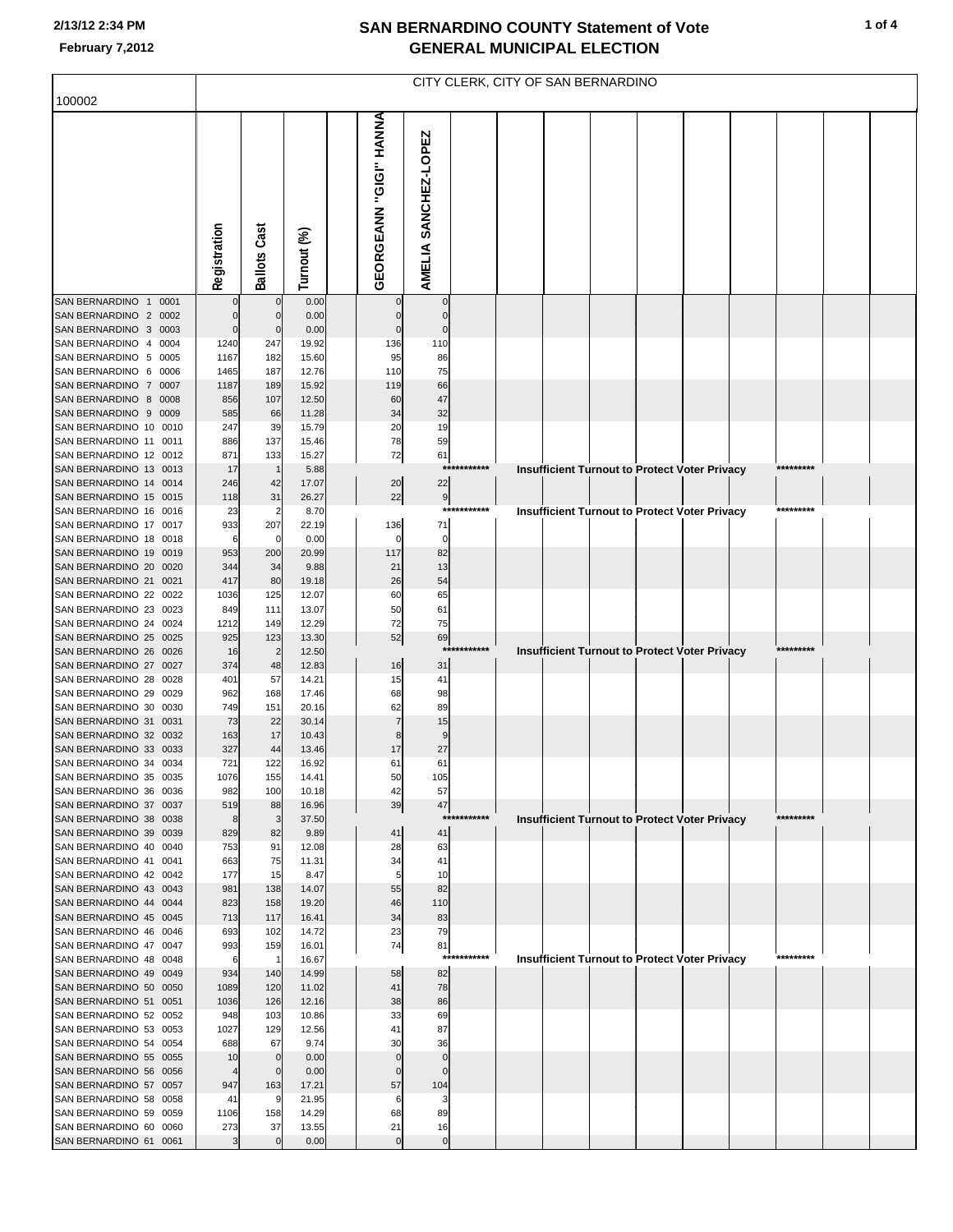### **2/13/12 2:34 PM**

|                                                                                                                           | CITY CLERK, CITY OF SAN BERNARDINO              |                                                 |                                         |  |                                             |                                               |             |  |  |  |  |                                                      |  |            |  |  |
|---------------------------------------------------------------------------------------------------------------------------|-------------------------------------------------|-------------------------------------------------|-----------------------------------------|--|---------------------------------------------|-----------------------------------------------|-------------|--|--|--|--|------------------------------------------------------|--|------------|--|--|
| 100002                                                                                                                    |                                                 |                                                 |                                         |  |                                             |                                               |             |  |  |  |  |                                                      |  |            |  |  |
|                                                                                                                           | Registration                                    | <b>Ballots Cast</b>                             | Turnout (%)                             |  | EORGEANN "GIGI" HANNA<br>O                  | AMELIA SANCHEZ-LOPEZ                          |             |  |  |  |  |                                                      |  |            |  |  |
| SAN BERNARDINO 1 0001                                                                                                     |                                                 | $\mathbf 0$                                     | 0.00                                    |  |                                             | 0                                             |             |  |  |  |  |                                                      |  |            |  |  |
| SAN BERNARDINO 2 0002<br>SAN BERNARDINO 3 0003<br>SAN BERNARDINO 4 0004<br>SAN BERNARDINO 5 0005<br>SAN BERNARDINO 6 0006 | $\Omega$<br>$\mathbf 0$<br>1240<br>1167<br>1465 | $\mathbf 0$<br>$\mathbf 0$<br>247<br>182<br>187 | 0.00<br>0.00<br>19.92<br>15.60<br>12.76 |  | $\Omega$<br>$\mathbf 0$<br>136<br>95<br>110 | $\mathbf 0$<br>$\mathbf 0$<br>110<br>86<br>75 |             |  |  |  |  |                                                      |  |            |  |  |
| SAN BERNARDINO 7 0007<br>SAN BERNARDINO 8 0008                                                                            | 1187<br>856                                     | 189<br>107                                      | 15.92<br>12.50                          |  | 119<br>60                                   | 66<br>47                                      |             |  |  |  |  |                                                      |  |            |  |  |
| SAN BERNARDINO 9 0009<br>SAN BERNARDINO 10 0010                                                                           | 585<br>247                                      | 66<br>39                                        | 11.28<br>15.79                          |  | 34<br>20                                    | 32<br>19                                      |             |  |  |  |  |                                                      |  |            |  |  |
| SAN BERNARDINO 11 0011                                                                                                    | 886                                             | 137                                             | 15.46                                   |  | 78                                          | 59                                            |             |  |  |  |  |                                                      |  |            |  |  |
| SAN BERNARDINO 12 0012<br>SAN BERNARDINO 13 0013                                                                          | 871<br>17                                       | 133<br>$\overline{1}$                           | 15.27<br>5.88                           |  | 72                                          | 61                                            | *********** |  |  |  |  | Insufficient Turnout to Protect Voter Privacy        |  | ********** |  |  |
| SAN BERNARDINO 14 0014<br>SAN BERNARDINO 15 0015                                                                          | 246<br>118                                      | 42<br>31                                        | 17.07<br>26.27                          |  | 20<br>22                                    | 22<br>9                                       |             |  |  |  |  |                                                      |  |            |  |  |
| SAN BERNARDINO 16 0016                                                                                                    | 23                                              | $\overline{2}$                                  | 8.70                                    |  |                                             |                                               | *********** |  |  |  |  | Insufficient Turnout to Protect Voter Privacy        |  | *********  |  |  |
| SAN BERNARDINO 17 0017<br>SAN BERNARDINO 18 0018                                                                          | 933<br>6                                        | 207<br>0                                        | 22.19<br>0.00                           |  | 136<br>$\Omega$                             | 71<br>$\mathbf 0$                             |             |  |  |  |  |                                                      |  |            |  |  |
| SAN BERNARDINO 19 0019<br>SAN BERNARDINO 20 0020                                                                          | 953<br>344                                      | 200<br>34                                       | 20.99<br>9.88                           |  | 117<br>21                                   | 82<br>13                                      |             |  |  |  |  |                                                      |  |            |  |  |
| SAN BERNARDINO 21 0021                                                                                                    | 417                                             | 80                                              | 19.18                                   |  | 26                                          | 54                                            |             |  |  |  |  |                                                      |  |            |  |  |
| SAN BERNARDINO 22 0022<br>SAN BERNARDINO 23 0023                                                                          | 1036<br>849                                     | 125<br>111                                      | 12.07<br>13.07                          |  | 60<br>50                                    | 65<br>61                                      |             |  |  |  |  |                                                      |  |            |  |  |
| SAN BERNARDINO 24 0024                                                                                                    | 1212                                            | 149                                             | 12.29                                   |  | 72                                          | 75                                            |             |  |  |  |  |                                                      |  |            |  |  |
| SAN BERNARDINO 25 0025<br>SAN BERNARDINO 26 0026                                                                          | 925<br>16                                       | 123<br>$\overline{2}$                           | 13.30<br>12.50                          |  | 52                                          | 69                                            | *********** |  |  |  |  | Insufficient Turnout to Protect Voter Privacy        |  | *********  |  |  |
| SAN BERNARDINO 27 0027                                                                                                    | 374                                             | 48                                              | 12.83                                   |  | 16                                          | 31                                            |             |  |  |  |  |                                                      |  |            |  |  |
| SAN BERNARDINO 28 0028<br>SAN BERNARDINO 29 0029                                                                          | 401<br>962                                      | 57<br>168                                       | 14.21<br>17.46                          |  | 15<br>68                                    | 41<br>98                                      |             |  |  |  |  |                                                      |  |            |  |  |
| SAN BERNARDINO 30 0030<br>SAN BERNARDINO 31 0031                                                                          | 749                                             | 151                                             | 20.16                                   |  | 62                                          | 89                                            |             |  |  |  |  |                                                      |  |            |  |  |
| SAN BERNARDINO 32 0032                                                                                                    | 73<br>163                                       | 22<br>17                                        | 30.14<br>10.43                          |  |                                             | 15                                            |             |  |  |  |  |                                                      |  |            |  |  |
| SAN BERNARDINO 33 0033<br>SAN BERNARDINO 34 0034                                                                          | 327<br>721                                      | 44<br>122                                       | 13.46<br>16.92                          |  | 17<br>61                                    | 27<br>61                                      |             |  |  |  |  |                                                      |  |            |  |  |
| SAN BERNARDINO 35 0035                                                                                                    | 1076                                            | 155                                             | 14.41                                   |  | 50                                          | 105                                           |             |  |  |  |  |                                                      |  |            |  |  |
| SAN BERNARDINO 36 0036<br>SAN BERNARDINO 37 0037                                                                          | 982<br>519                                      | 100<br>88                                       | 10.18<br>16.96                          |  | 42<br>39                                    | 57<br>47                                      |             |  |  |  |  |                                                      |  |            |  |  |
| SAN BERNARDINO 38 0038                                                                                                    | 8                                               | 3                                               | 37.50                                   |  |                                             |                                               | *********** |  |  |  |  | <b>Insufficient Turnout to Protect Voter Privacy</b> |  | *********  |  |  |
| SAN BERNARDINO 39 0039<br>SAN BERNARDINO 40 0040                                                                          | 829<br>753                                      | 82<br>91                                        | 9.89<br>12.08                           |  | 41<br>28                                    | 41<br>63                                      |             |  |  |  |  |                                                      |  |            |  |  |
| SAN BERNARDINO 41 0041                                                                                                    | 663                                             | 75                                              | 11.31                                   |  | 34                                          | 41                                            |             |  |  |  |  |                                                      |  |            |  |  |
| SAN BERNARDINO 42 0042<br>SAN BERNARDINO 43 0043                                                                          | 177<br>981                                      | 15<br>138                                       | 8.47<br>14.07                           |  | 55                                          | 10<br>82                                      |             |  |  |  |  |                                                      |  |            |  |  |
| SAN BERNARDINO 44 0044<br>SAN BERNARDINO 45 0045                                                                          | 823<br>713                                      | 158<br>117                                      | 19.20<br>16.41                          |  | 46<br>34                                    | 110<br>83                                     |             |  |  |  |  |                                                      |  |            |  |  |
| SAN BERNARDINO 46 0046                                                                                                    | 693                                             | 102                                             | 14.72                                   |  | 23                                          | 79                                            |             |  |  |  |  |                                                      |  |            |  |  |
| SAN BERNARDINO 47 0047<br>SAN BERNARDINO 48 0048                                                                          | 993<br>6                                        | 159<br>$\overline{1}$                           | 16.01<br>16.67                          |  | 74                                          | 81                                            | *********** |  |  |  |  | Insufficient Turnout to Protect Voter Privacy        |  | *********  |  |  |
| SAN BERNARDINO 49 0049                                                                                                    | 934                                             | 140                                             | 14.99                                   |  | 58                                          | 82                                            |             |  |  |  |  |                                                      |  |            |  |  |
| SAN BERNARDINO 50 0050<br>SAN BERNARDINO 51 0051                                                                          | 1089<br>1036                                    | 120<br>126                                      | 11.02<br>12.16                          |  | 41<br>38                                    | 78<br>86                                      |             |  |  |  |  |                                                      |  |            |  |  |
| SAN BERNARDINO 52 0052                                                                                                    | 948                                             | 103                                             | 10.86                                   |  | 33                                          | 69                                            |             |  |  |  |  |                                                      |  |            |  |  |
| SAN BERNARDINO 53 0053<br>SAN BERNARDINO 54 0054                                                                          | 1027<br>688                                     | 129<br>67                                       | 12.56<br>9.74                           |  | 41<br>30                                    | 87<br>36                                      |             |  |  |  |  |                                                      |  |            |  |  |
| SAN BERNARDINO 55 0055                                                                                                    | 10                                              | $\mathbf 0$                                     | 0.00                                    |  | $\mathbf{0}$                                | $\mathbf 0$                                   |             |  |  |  |  |                                                      |  |            |  |  |
| SAN BERNARDINO 56 0056<br>SAN BERNARDINO 57 0057                                                                          | 4<br>947                                        | $\mathbf 0$<br>163                              | 0.00<br>17.21                           |  | $\Omega$<br>57                              | $\Omega$<br>104                               |             |  |  |  |  |                                                      |  |            |  |  |
| SAN BERNARDINO 58 0058<br>SAN BERNARDINO 59 0059                                                                          | 41<br>1106                                      | 9<br>158                                        | 21.95<br>14.29                          |  | 68                                          | 89                                            |             |  |  |  |  |                                                      |  |            |  |  |
| SAN BERNARDINO 60 0060                                                                                                    | 273                                             | 37                                              | 13.55                                   |  | 21                                          | 16                                            |             |  |  |  |  |                                                      |  |            |  |  |
| SAN BERNARDINO 61 0061                                                                                                    | 3                                               | $\mathbf 0$                                     | 0.00                                    |  | $\overline{0}$                              | $\pmb{0}$                                     |             |  |  |  |  |                                                      |  |            |  |  |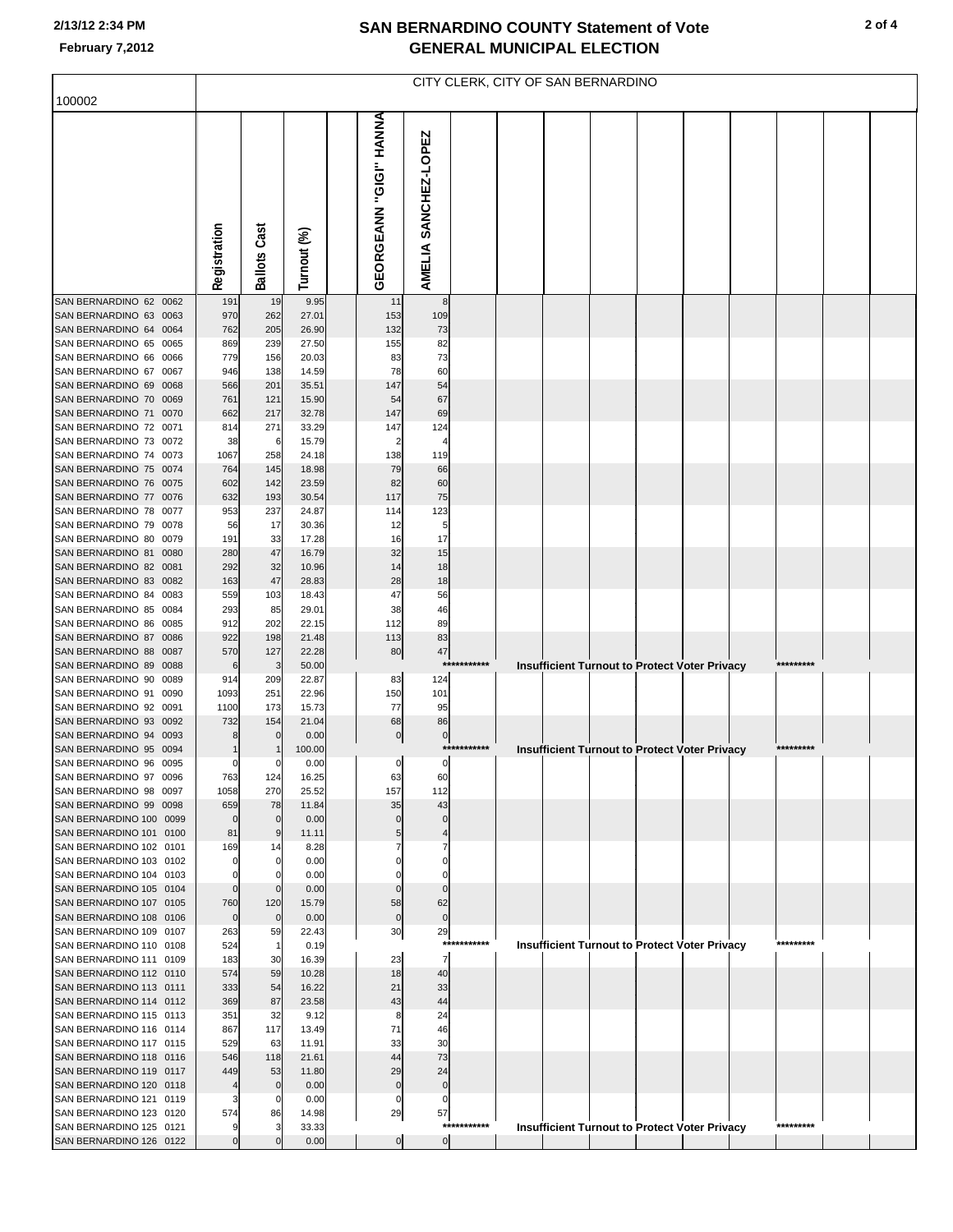### **2/13/12 2:34 PM**

|                                                    | CITY CLERK, CITY OF SAN BERNARDINO |                      |                |  |                        |                        |             |  |  |  |  |                                                      |  |           |  |  |
|----------------------------------------------------|------------------------------------|----------------------|----------------|--|------------------------|------------------------|-------------|--|--|--|--|------------------------------------------------------|--|-----------|--|--|
| 100002                                             |                                    |                      |                |  |                        |                        |             |  |  |  |  |                                                      |  |           |  |  |
|                                                    | Registration                       | <b>Ballots Cast</b>  | Turnout (%)    |  | GEORGEANN "GIGI" HANNA | AMELIA SANCHEZ-LOPEZ   |             |  |  |  |  |                                                      |  |           |  |  |
| SAN BERNARDINO 62 0062                             | 191                                | 19                   | 9.95           |  | 11                     | 8                      |             |  |  |  |  |                                                      |  |           |  |  |
| SAN BERNARDINO 63 0063<br>SAN BERNARDINO 64 0064   | 970<br>762                         | 262<br>205           | 27.01<br>26.90 |  | 153<br>132             | 109<br>73              |             |  |  |  |  |                                                      |  |           |  |  |
| SAN BERNARDINO 65 0065                             | 869                                | 239                  | 27.50          |  | 155                    | 82                     |             |  |  |  |  |                                                      |  |           |  |  |
| SAN BERNARDINO 66 0066                             | 779                                | 156                  | 20.03          |  | 83                     | 73                     |             |  |  |  |  |                                                      |  |           |  |  |
| SAN BERNARDINO 67 0067                             | 946                                | 138                  | 14.59          |  | 78                     | 60                     |             |  |  |  |  |                                                      |  |           |  |  |
| SAN BERNARDINO 69 0068                             | 566                                | 201                  | 35.51          |  | 147                    | 54                     |             |  |  |  |  |                                                      |  |           |  |  |
| SAN BERNARDINO 70 0069<br>SAN BERNARDINO 71 0070   | 761<br>662                         | 121<br>217           | 15.90<br>32.78 |  | 54<br>147              | 67<br>69               |             |  |  |  |  |                                                      |  |           |  |  |
| SAN BERNARDINO 72 0071                             | 814                                | 271                  | 33.29          |  | 147                    | 124                    |             |  |  |  |  |                                                      |  |           |  |  |
| SAN BERNARDINO 73 0072                             | 38                                 | 6                    | 15.79          |  | $\overline{2}$         |                        |             |  |  |  |  |                                                      |  |           |  |  |
| SAN BERNARDINO 74 0073                             | 1067                               | 258                  | 24.18          |  | 138                    | 119                    |             |  |  |  |  |                                                      |  |           |  |  |
| SAN BERNARDINO 75 0074                             | 764                                | 145                  | 18.98          |  | 79                     | 66                     |             |  |  |  |  |                                                      |  |           |  |  |
| SAN BERNARDINO 76 0075<br>SAN BERNARDINO 77 0076   | 602<br>632                         | 142<br>193           | 23.59<br>30.54 |  | 82<br>117              | 60<br>75               |             |  |  |  |  |                                                      |  |           |  |  |
| SAN BERNARDINO 78 0077                             | 953                                | 237                  | 24.87          |  | 114                    | 123                    |             |  |  |  |  |                                                      |  |           |  |  |
| SAN BERNARDINO 79 0078                             | 56                                 | 17                   | 30.36          |  | 12                     | 5                      |             |  |  |  |  |                                                      |  |           |  |  |
| SAN BERNARDINO 80 0079                             | 191                                | 33                   | 17.28          |  | 16                     | 17                     |             |  |  |  |  |                                                      |  |           |  |  |
| SAN BERNARDINO 81 0080                             | 280                                | 47                   | 16.79          |  | 32                     | 15                     |             |  |  |  |  |                                                      |  |           |  |  |
| SAN BERNARDINO 82 0081<br>SAN BERNARDINO 83 0082   | 292<br>163                         | 32<br>47             | 10.96<br>28.83 |  | 14<br>28               | 18<br>18               |             |  |  |  |  |                                                      |  |           |  |  |
| SAN BERNARDINO 84 0083                             | 559                                | 103                  | 18.43          |  | 47                     | 56                     |             |  |  |  |  |                                                      |  |           |  |  |
| SAN BERNARDINO 85 0084                             | 293                                | 85                   | 29.01          |  | 38                     | 46                     |             |  |  |  |  |                                                      |  |           |  |  |
| SAN BERNARDINO 86 0085                             | 912                                | 202                  | 22.15          |  | 112                    | 89                     |             |  |  |  |  |                                                      |  |           |  |  |
| SAN BERNARDINO 87 0086                             | 922                                | 198                  | 21.48          |  | 113                    | 83                     |             |  |  |  |  |                                                      |  |           |  |  |
| SAN BERNARDINO 88 0087<br>SAN BERNARDINO 89 0088   | 570<br>6                           | 127<br>3             | 22.28<br>50.00 |  | 80                     | 47<br>***              | *******     |  |  |  |  | <b>Insufficient Turnout to Protect Voter Privacy</b> |  | ********  |  |  |
| SAN BERNARDINO 90 0089                             | 914                                | 209                  | 22.87          |  | 83                     | 124                    |             |  |  |  |  |                                                      |  |           |  |  |
| SAN BERNARDINO 91 0090                             | 1093                               | 251                  | 22.96          |  | 150                    | 101                    |             |  |  |  |  |                                                      |  |           |  |  |
| SAN BERNARDINO 92 0091                             | 1100                               | 173                  | 15.73          |  | 77                     | 95                     |             |  |  |  |  |                                                      |  |           |  |  |
| SAN BERNARDINO 93 0092<br>SAN BERNARDINO 94 0093   | 732<br>8                           | 154<br>$\mathbf 0$   | 21.04<br>0.00  |  | 68<br>$\boldsymbol{0}$ | 86<br>$\boldsymbol{0}$ |             |  |  |  |  |                                                      |  |           |  |  |
| SAN BERNARDINO 95 0094                             |                                    |                      | 100.00         |  |                        |                        | *********** |  |  |  |  | <b>Insufficient Turnout to Protect Voter Privacy</b> |  | ********* |  |  |
| SAN BERNARDINO 96 0095                             | 0                                  | 0                    | 0.00           |  | $\circ$                | $\overline{0}$         |             |  |  |  |  |                                                      |  |           |  |  |
| SAN BERNARDINO 97 0096                             | 763                                | 124                  | 16.25          |  | 63                     | 60                     |             |  |  |  |  |                                                      |  |           |  |  |
| SAN BERNARDINO 98 0097                             | 1058                               | 270                  | 25.52          |  | 157<br>35              | 112                    |             |  |  |  |  |                                                      |  |           |  |  |
| SAN BERNARDINO 99 0098<br>SAN BERNARDINO 100 0099  | 659<br>$\mathbf{0}$                | 78<br>$\overline{0}$ | 11.84<br>0.00  |  | $\mathbf 0$            | 43<br>$\Omega$         |             |  |  |  |  |                                                      |  |           |  |  |
| SAN BERNARDINO 101 0100                            | 81                                 | 9                    | 11.11          |  | 5                      |                        |             |  |  |  |  |                                                      |  |           |  |  |
| SAN BERNARDINO 102 0101                            | 169                                | 14                   | 8.28           |  |                        |                        |             |  |  |  |  |                                                      |  |           |  |  |
| SAN BERNARDINO 103 0102                            |                                    | $\mathbf 0$          | 0.00           |  |                        |                        |             |  |  |  |  |                                                      |  |           |  |  |
| SAN BERNARDINO 104 0103<br>SAN BERNARDINO 105 0104 | $\Omega$                           | 0<br>$\overline{0}$  | 0.00<br>0.00   |  | $\Omega$               | 0<br>$\Omega$          |             |  |  |  |  |                                                      |  |           |  |  |
| SAN BERNARDINO 107 0105                            | 760                                | 120                  | 15.79          |  | 58                     | 62                     |             |  |  |  |  |                                                      |  |           |  |  |
| SAN BERNARDINO 108 0106                            | $\mathbf 0$                        | $\overline{0}$       | 0.00           |  | $\mathbf 0$            | $\mathbf 0$            |             |  |  |  |  |                                                      |  |           |  |  |
| SAN BERNARDINO 109 0107                            | 263                                | 59                   | 22.43          |  | 30                     | 29                     |             |  |  |  |  |                                                      |  |           |  |  |
| SAN BERNARDINO 110 0108                            | 524                                | $\overline{1}$       | 0.19           |  |                        | $***$                  | *****       |  |  |  |  | <b>Insufficient Turnout to Protect Voter Privacy</b> |  | ********* |  |  |
| SAN BERNARDINO 111 0109<br>SAN BERNARDINO 112 0110 | 183<br>574                         | 30<br>59             | 16.39<br>10.28 |  | 23<br>18               | 7<br>40                |             |  |  |  |  |                                                      |  |           |  |  |
| SAN BERNARDINO 113 0111                            | 333                                | 54                   | 16.22          |  | 21                     | 33                     |             |  |  |  |  |                                                      |  |           |  |  |
| SAN BERNARDINO 114 0112                            | 369                                | 87                   | 23.58          |  | 43                     | 44                     |             |  |  |  |  |                                                      |  |           |  |  |
| SAN BERNARDINO 115 0113                            | 351                                | 32                   | 9.12           |  | 8                      | 24                     |             |  |  |  |  |                                                      |  |           |  |  |
| SAN BERNARDINO 116 0114                            | 867                                | 117                  | 13.49          |  | 71                     | 46                     |             |  |  |  |  |                                                      |  |           |  |  |
| SAN BERNARDINO 117 0115<br>SAN BERNARDINO 118 0116 | 529<br>546                         | 63<br>118            | 11.91<br>21.61 |  | 33<br>44               | 30<br>73               |             |  |  |  |  |                                                      |  |           |  |  |
| SAN BERNARDINO 119 0117                            | 449                                | 53                   | 11.80          |  | 29                     | 24                     |             |  |  |  |  |                                                      |  |           |  |  |
| SAN BERNARDINO 120 0118                            |                                    | $\mathbf 0$          | 0.00           |  | $\mathbf 0$            | $\mathbf 0$            |             |  |  |  |  |                                                      |  |           |  |  |
| SAN BERNARDINO 121 0119                            |                                    | 0                    | 0.00           |  | $\mathbf 0$            | 0                      |             |  |  |  |  |                                                      |  |           |  |  |
| SAN BERNARDINO 123 0120                            | 574                                | 86<br>3              | 14.98          |  | 29                     | 57                     | *********** |  |  |  |  |                                                      |  | ********* |  |  |
| SAN BERNARDINO 125 0121<br>SAN BERNARDINO 126 0122 | $\Omega$                           | $\Omega$             | 33.33<br>0.00  |  | $\overline{0}$         | $\overline{0}$         |             |  |  |  |  | Insufficient Turnout to Protect Voter Privacy        |  |           |  |  |
|                                                    |                                    |                      |                |  |                        |                        |             |  |  |  |  |                                                      |  |           |  |  |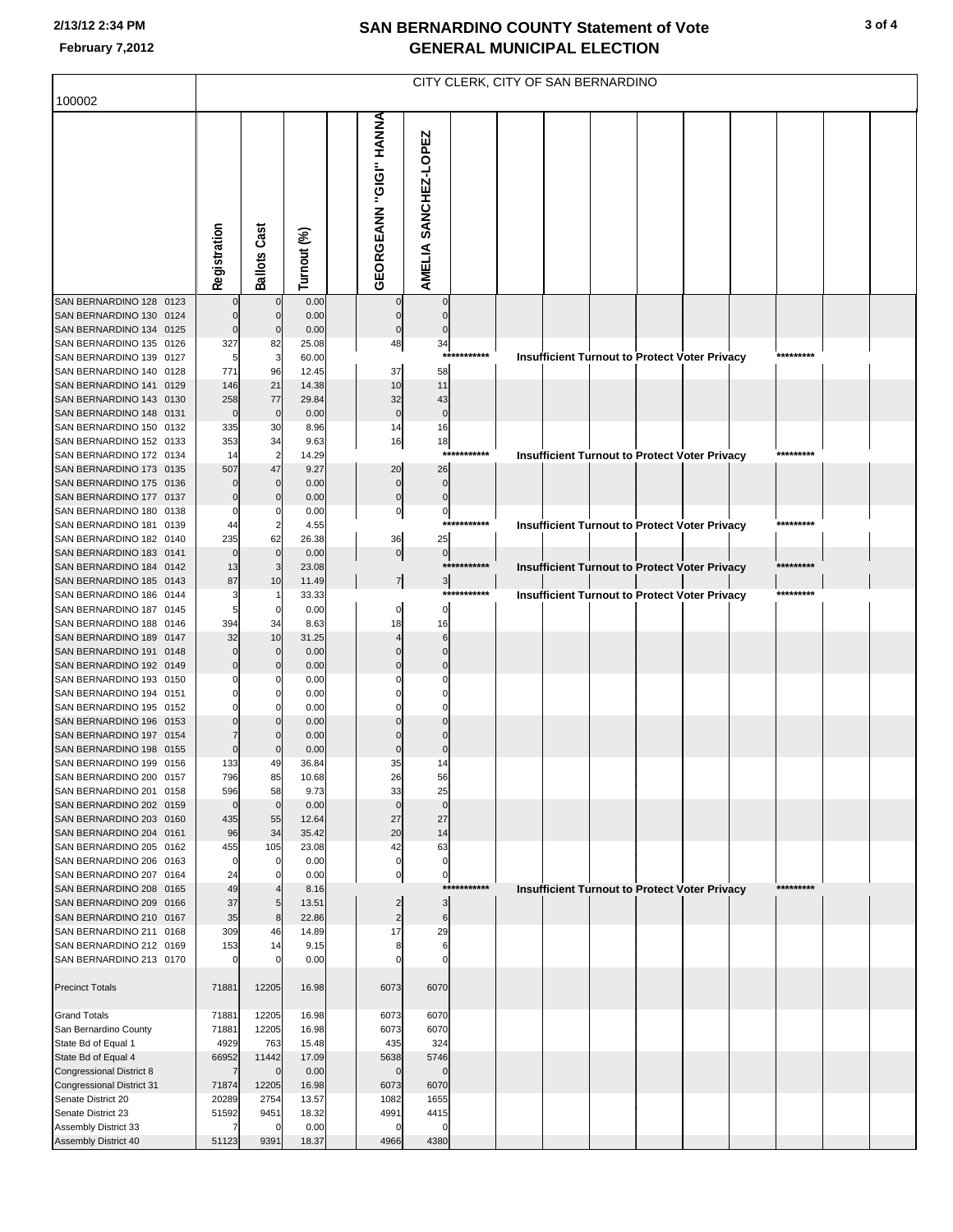### **2/13/12 2:34 PM**

|                                                                                                                                     | CITY CLERK, CITY OF SAN BERNARDINO |                                                 |                                         |                                                                 |                                                     |                            |  |  |  |  |                                                      |  |                        |  |  |
|-------------------------------------------------------------------------------------------------------------------------------------|------------------------------------|-------------------------------------------------|-----------------------------------------|-----------------------------------------------------------------|-----------------------------------------------------|----------------------------|--|--|--|--|------------------------------------------------------|--|------------------------|--|--|
| 100002                                                                                                                              |                                    |                                                 |                                         |                                                                 |                                                     |                            |  |  |  |  |                                                      |  |                        |  |  |
|                                                                                                                                     | Registration                       | <b>Ballots Cast</b>                             | Turnout (%)                             | GEORGEANN "GIGI" HANNA                                          | AMELIA SANCHEZ-LOPEZ                                |                            |  |  |  |  |                                                      |  |                        |  |  |
| SAN BERNARDINO 128 0123                                                                                                             |                                    | 0                                               | 0.00                                    |                                                                 |                                                     |                            |  |  |  |  |                                                      |  |                        |  |  |
| SAN BERNARDINO 130 0124<br>SAN BERNARDINO 134 0125<br>SAN BERNARDINO 135 0126<br>SAN BERNARDINO 139 0127<br>SAN BERNARDINO 140 0128 | $\Omega$<br>327<br>5<br>771        | $\mathbf 0$<br>$\mathbf 0$<br>82<br>3<br>96     | 0.00<br>0.00<br>25.08<br>60.00<br>12.45 | $\Omega$<br>$\bf{0}$<br>48<br>37                                | $\Omega$<br>$\Omega$<br>34<br>***:<br>58            | *******                    |  |  |  |  | <b>Insufficient Turnout to Protect Voter Privacy</b> |  | *********              |  |  |
| SAN BERNARDINO 141 0129<br>SAN BERNARDINO 143 0130<br>SAN BERNARDINO 148 0131                                                       | 146<br>258<br>$\mathbf 0$          | 21<br>77<br>$\mathbf 0$                         | 14.38<br>29.84<br>0.00                  | 10<br>32<br>$\mathbf 0$                                         | 11<br>43<br>$\mathbf 0$                             |                            |  |  |  |  |                                                      |  |                        |  |  |
| SAN BERNARDINO 150 0132<br>SAN BERNARDINO 152 0133<br>SAN BERNARDINO 172 0134<br>SAN BERNARDINO 173 0135<br>SAN BERNARDINO 175 0136 | 335<br>353<br>14<br>507            | 30<br>34<br>$\overline{2}$<br>47<br>$\mathbf 0$ | 8.96<br>9.63<br>14.29<br>9.27<br>0.00   | 14<br>16<br>20<br>$\mathbf 0$                                   | 16<br>18<br>***<br>26<br>$\overline{0}$             |                            |  |  |  |  | <b>Insufficient Turnout to Protect Voter Privacy</b> |  | ********               |  |  |
| SAN BERNARDINO 177 0137<br>SAN BERNARDINO 180 0138<br>SAN BERNARDINO 181 0139<br>SAN BERNARDINO 182 0140                            | $\mathbf 0$<br>44<br>235           | 0<br>62                                         | 0.00<br>0.00<br>4.55<br>26.38           | $\pmb{0}$<br>$\mathbf 0$<br>36                                  | $\mathbf 0$<br>$\pmb{0}$<br>25                      | ***********                |  |  |  |  | <b>Insufficient Turnout to Protect Voter Privacy</b> |  | *********              |  |  |
| SAN BERNARDINO 183 0141<br>SAN BERNARDINO 184 0142<br>SAN BERNARDINO 185 0143                                                       | $\Omega$<br>13<br>87               | $\mathbf 0$<br>3<br>10                          | 0.00<br>23.08<br>11.49                  | $\overline{0}$<br>$\overline{7}$                                | $\circ$<br>$\mathbf{3}$                             | ***********<br>*********** |  |  |  |  | <b>Insufficient Turnout to Protect Voter Privacy</b> |  | *********<br>********* |  |  |
| SAN BERNARDINO 186 0144<br>SAN BERNARDINO 187 0145<br>SAN BERNARDINO 188 0146                                                       | 3<br>5<br>394                      | 0<br>34                                         | 33.33<br>0.00<br>8.63                   | 0<br>18                                                         | $\Omega$<br>16                                      |                            |  |  |  |  | <b>Insufficient Turnout to Protect Voter Privacy</b> |  |                        |  |  |
| SAN BERNARDINO 189 0147<br>SAN BERNARDINO 191 0148<br>SAN BERNARDINO 192 0149                                                       | 32<br>0                            | 10<br>$\mathbf 0$<br>$\Omega$                   | 31.25<br>0.00<br>0.00                   |                                                                 | 6<br>$\Omega$                                       |                            |  |  |  |  |                                                      |  |                        |  |  |
| SAN BERNARDINO 193 0150<br>SAN BERNARDINO 194 0151<br>SAN BERNARDINO 195 0152                                                       |                                    |                                                 | 0.00<br>0.00<br>0.00                    |                                                                 |                                                     |                            |  |  |  |  |                                                      |  |                        |  |  |
| SAN BERNARDINO 196 0153<br>SAN BERNARDINO 197 0154<br>SAN BERNARDINO 198 0155<br>SAN BERNARDINO 199 0156<br>SAN BERNARDINO 200 0157 | $\Omega$<br>133<br>796             | $\Omega$<br>49<br>85                            | 0.00<br>0.00<br>0.00<br>36.84<br>10.68  | 0<br>35<br>26                                                   | 14<br>56                                            |                            |  |  |  |  |                                                      |  |                        |  |  |
| SAN BERNARDINO 201 0158<br>SAN BERNARDINO 202 0159<br>SAN BERNARDINO 203 0160                                                       | 596<br>$\mathbf 0$<br>435          | 58<br>$\mathbf 0$<br>55                         | 9.73<br>0.00<br>12.64                   | 33<br>$\mathbf 0$<br>27                                         | 25<br>$\mathbf 0$<br>27                             |                            |  |  |  |  |                                                      |  |                        |  |  |
| SAN BERNARDINO 204 0161<br>SAN BERNARDINO 205 0162<br>SAN BERNARDINO 206 0163                                                       | 96<br>455<br>$\mathbf 0$           | 34<br>105<br>$\mathbf 0$                        | 35.42<br>23.08<br>0.00                  | 20<br>42<br>$\mathbf 0$                                         | 14<br>63<br>$\pmb{0}$                               |                            |  |  |  |  |                                                      |  |                        |  |  |
| SAN BERNARDINO 207 0164<br>SAN BERNARDINO 208 0165<br>SAN BERNARDINO 209 0166<br>SAN BERNARDINO 210 0167                            | 24<br>49<br>37<br>35               | 0<br>5<br>8                                     | 0.00<br>8.16<br>13.51<br>22.86          | $\pmb{0}$<br>$\overline{\mathbf{c}}$<br>$\overline{\mathbf{c}}$ | $\mathbf 0$<br>$***$<br>$\mathbf{3}$<br>$\,$ 6 $\,$ | *******                    |  |  |  |  | <b>Insufficient Turnout to Protect Voter Privacy</b> |  | *********              |  |  |
| SAN BERNARDINO 211 0168<br>SAN BERNARDINO 212 0169<br>SAN BERNARDINO 213 0170                                                       | 309<br>153                         | 46<br>14                                        | 14.89<br>9.15<br>0.00                   | 17<br>8                                                         | 29<br>6                                             |                            |  |  |  |  |                                                      |  |                        |  |  |
| <b>Precinct Totals</b>                                                                                                              | 71881                              | 12205                                           | 16.98                                   | 6073                                                            | 6070                                                |                            |  |  |  |  |                                                      |  |                        |  |  |
| <b>Grand Totals</b><br>San Bernardino County<br>State Bd of Equal 1                                                                 | 71881<br>71881<br>4929<br>66952    | 12205<br>12205<br>763                           | 16.98<br>16.98<br>15.48<br>17.09        | 6073<br>6073<br>435<br>5638                                     | 6070<br>6070<br>324                                 |                            |  |  |  |  |                                                      |  |                        |  |  |
| State Bd of Equal 4<br>Congressional District 8<br>Congressional District 31<br>Senate District 20                                  | $\overline{7}$<br>71874<br>20289   | 11442<br>$\Omega$<br>12205<br>2754              | 0.00<br>16.98<br>13.57                  | $\mathbf 0$<br>6073<br>1082                                     | 5746<br>$\Omega$<br>6070<br>1655                    |                            |  |  |  |  |                                                      |  |                        |  |  |
| Senate District 23<br>Assembly District 33<br>Assembly District 40                                                                  | 51592<br>51123                     | 9451<br>$\Omega$<br>9391                        | 18.32<br>0.00<br>18.37                  | 4991<br>$\Omega$<br>4966                                        | 4415<br>$\Omega$<br>4380                            |                            |  |  |  |  |                                                      |  |                        |  |  |